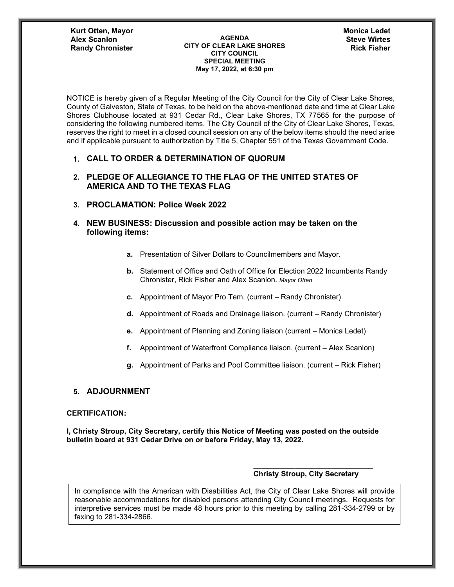**Kurt Otten, Mayor Randy Chronister** 

#### **AGENDA CITY OF CLEAR LAKE SHORES CITY COUNCIL SPECIAL MEETING May 17, 2022, at 6:30 pm Alex Scanlon Steve Wirtes**

NOTICE is hereby given of a Regular Meeting of the City Council for the City of Clear Lake Shores, County of Galveston, State of Texas, to be held on the above-mentioned date and time at Clear Lake Shores Clubhouse located at 931 Cedar Rd., Clear Lake Shores, TX 77565 for the purpose of considering the following numbered items. The City Council of the City of Clear Lake Shores, Texas, reserves the right to meet in a closed council session on any of the below items should the need arise and if applicable pursuant to authorization by Title 5, Chapter 551 of the Texas Government Code.

# **1. CALL TO ORDER & DETERMINATION OF QUORUM**

# **2. PLEDGE OF ALLEGIANCE TO THE FLAG OF THE UNITED STATES OF AMERICA AND TO THE TEXAS FLAG**

- **3. PROCLAMATION: Police Week 2022**
- **4. NEW BUSINESS: Discussion and possible action may be taken on the following items:** 
	- **a.** Presentation of Silver Dollars to Councilmembers and Mayor.
	- **b.** Statement of Office and Oath of Office for Election 2022 Incumbents Randy Chronister, Rick Fisher and Alex Scanlon. *Mayor Otten*
	- **c.** Appointment of Mayor Pro Tem. (current Randy Chronister)
	- **d.** Appointment of Roads and Drainage liaison. (current Randy Chronister)
	- **e.** Appointment of Planning and Zoning liaison (current Monica Ledet)
	- **f.** Appointment of Waterfront Compliance liaison. (current Alex Scanlon)
	- **g.** Appointment of Parks and Pool Committee liaison. (current Rick Fisher)

### **5. ADJOURNMENT**

#### **CERTIFICATION:**

**I, Christy Stroup, City Secretary, certify this Notice of Meeting was posted on the outside bulletin board at 931 Cedar Drive on or before Friday, May 13, 2022.**

#### **\_\_\_\_\_\_\_\_\_\_\_\_\_\_\_\_\_\_\_\_\_\_\_\_\_\_\_\_\_ Christy Stroup, City Secretary**

In compliance with the American with Disabilities Act, the City of Clear Lake Shores will provide reasonable accommodations for disabled persons attending City Council meetings. Requests for interpretive services must be made 48 hours prior to this meeting by calling 281-334-2799 or by faxing to 281-334-2866.